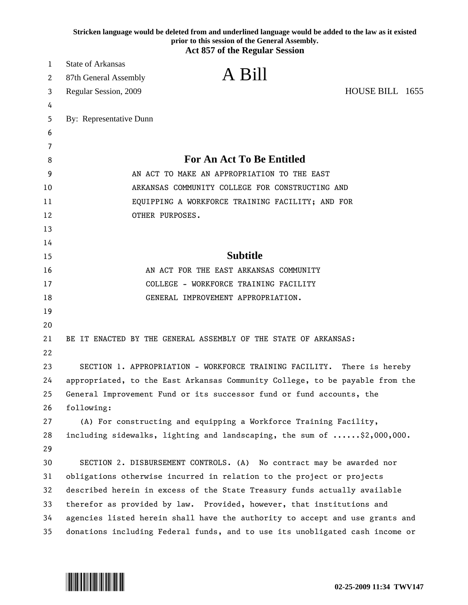|          | Stricken language would be deleted from and underlined language would be added to the law as it existed<br>prior to this session of the General Assembly.<br><b>Act 857 of the Regular Session</b> |  |
|----------|----------------------------------------------------------------------------------------------------------------------------------------------------------------------------------------------------|--|
| 1        | <b>State of Arkansas</b>                                                                                                                                                                           |  |
| 2        | A Bill<br>87th General Assembly                                                                                                                                                                    |  |
| 3        | HOUSE BILL 1655<br>Regular Session, 2009                                                                                                                                                           |  |
| 4        |                                                                                                                                                                                                    |  |
| 5        | By: Representative Dunn                                                                                                                                                                            |  |
| 6        |                                                                                                                                                                                                    |  |
| 7        |                                                                                                                                                                                                    |  |
| 8        | <b>For An Act To Be Entitled</b>                                                                                                                                                                   |  |
| 9        | AN ACT TO MAKE AN APPROPRIATION TO THE EAST                                                                                                                                                        |  |
| 10       | ARKANSAS COMMUNITY COLLEGE FOR CONSTRUCTING AND                                                                                                                                                    |  |
| 11       | EQUIPPING A WORKFORCE TRAINING FACILITY; AND FOR                                                                                                                                                   |  |
| 12       | OTHER PURPOSES.                                                                                                                                                                                    |  |
| 13       |                                                                                                                                                                                                    |  |
| 14       |                                                                                                                                                                                                    |  |
| 15       | <b>Subtitle</b>                                                                                                                                                                                    |  |
| 16       | AN ACT FOR THE EAST ARKANSAS COMMUNITY                                                                                                                                                             |  |
| 17       | COLLEGE - WORKFORCE TRAINING FACILITY                                                                                                                                                              |  |
| 18       | GENERAL IMPROVEMENT APPROPRIATION.                                                                                                                                                                 |  |
| 19       |                                                                                                                                                                                                    |  |
| 20       |                                                                                                                                                                                                    |  |
| 21<br>22 | BE IT ENACTED BY THE GENERAL ASSEMBLY OF THE STATE OF ARKANSAS:                                                                                                                                    |  |
| 23       | SECTION 1. APPROPRIATION - WORKFORCE TRAINING FACILITY.<br>There is hereby                                                                                                                         |  |
| 24       | appropriated, to the East Arkansas Community College, to be payable from the                                                                                                                       |  |
| 25       | General Improvement Fund or its successor fund or fund accounts, the                                                                                                                               |  |
| 26       | following:                                                                                                                                                                                         |  |
| 27       | (A) For constructing and equipping a Workforce Training Facility,                                                                                                                                  |  |
| 28       | including sidewalks, lighting and landscaping, the sum of \$2,000,000.                                                                                                                             |  |
| 29       |                                                                                                                                                                                                    |  |
| 30       | SECTION 2. DISBURSEMENT CONTROLS. (A) No contract may be awarded nor                                                                                                                               |  |
| 31       | obligations otherwise incurred in relation to the project or projects                                                                                                                              |  |
| 32       | described herein in excess of the State Treasury funds actually available                                                                                                                          |  |
| 33       | therefor as provided by law. Provided, however, that institutions and                                                                                                                              |  |
| 34       | agencies listed herein shall have the authority to accept and use grants and                                                                                                                       |  |
| 35       | donations including Federal funds, and to use its unobligated cash income or                                                                                                                       |  |